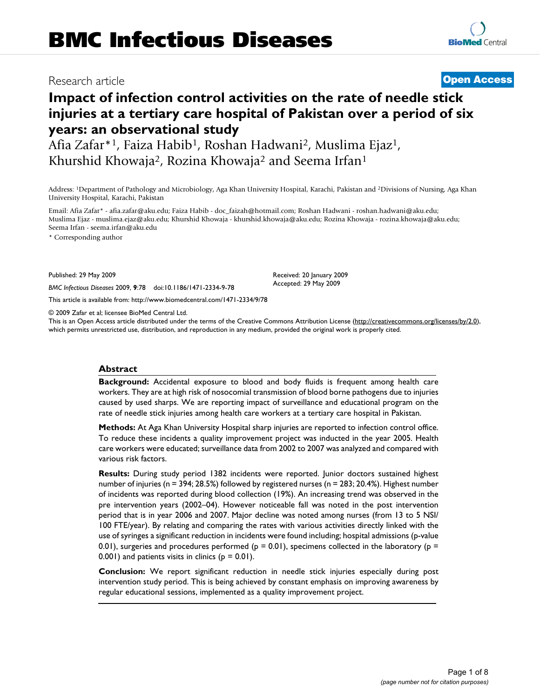# **Impact of infection control activities on the rate of needle stick injuries at a tertiary care hospital of Pakistan over a period of six years: an observational study**

Afia Zafar<sup>\*1</sup>, Faiza Habib<sup>1</sup>, Roshan Hadwani<sup>2</sup>, Muslima Ejaz<sup>1</sup>, Khurshid Khowaja<sup>2</sup>, Rozina Khowaja<sup>2</sup> and Seema Irfan<sup>1</sup>

Address: 1Department of Pathology and Microbiology, Aga Khan University Hospital, Karachi, Pakistan and 2Divisions of Nursing, Aga Khan University Hospital, Karachi, Pakistan

Email: Afia Zafar\* - afia.zafar@aku.edu; Faiza Habib - doc\_faizah@hotmail.com; Roshan Hadwani - roshan.hadwani@aku.edu; Muslima Ejaz - muslima.ejaz@aku.edu; Khurshid Khowaja - khurshid.khowaja@aku.edu; Rozina Khowaja - rozina.khowaja@aku.edu; Seema Irfan - seema.irfan@aku.edu

\* Corresponding author

Published: 29 May 2009

*BMC Infectious Diseases* 2009, **9**:78 doi:10.1186/1471-2334-9-78

[This article is available from: http://www.biomedcentral.com/1471-2334/9/78](http://www.biomedcentral.com/1471-2334/9/78)

© 2009 Zafar et al; licensee BioMed Central Ltd.

This is an Open Access article distributed under the terms of the Creative Commons Attribution License [\(http://creativecommons.org/licenses/by/2.0\)](http://creativecommons.org/licenses/by/2.0), which permits unrestricted use, distribution, and reproduction in any medium, provided the original work is properly cited.

#### **Abstract**

**Background:** Accidental exposure to blood and body fluids is frequent among health care workers. They are at high risk of nosocomial transmission of blood borne pathogens due to injuries caused by used sharps. We are reporting impact of surveillance and educational program on the rate of needle stick injuries among health care workers at a tertiary care hospital in Pakistan.

**Methods:** At Aga Khan University Hospital sharp injuries are reported to infection control office. To reduce these incidents a quality improvement project was inducted in the year 2005. Health care workers were educated; surveillance data from 2002 to 2007 was analyzed and compared with various risk factors.

**Results:** During study period 1382 incidents were reported. Junior doctors sustained highest number of injuries (n = 394; 28.5%) followed by registered nurses (n = 283; 20.4%). Highest number of incidents was reported during blood collection (19%). An increasing trend was observed in the pre intervention years (2002–04). However noticeable fall was noted in the post intervention period that is in year 2006 and 2007. Major decline was noted among nurses (from 13 to 5 NSI/ 100 FTE/year). By relating and comparing the rates with various activities directly linked with the use of syringes a significant reduction in incidents were found including; hospital admissions (p-value 0.01), surgeries and procedures performed ( $p = 0.01$ ), specimens collected in the laboratory ( $p =$ 0.001) and patients visits in clinics ( $p = 0.01$ ).

**Conclusion:** We report significant reduction in needle stick injuries especially during post intervention study period. This is being achieved by constant emphasis on improving awareness by regular educational sessions, implemented as a quality improvement project.

## Research article **[Open Access](http://www.biomedcentral.com/info/about/charter/)**

Received: 20 January 2009 Accepted: 29 May 2009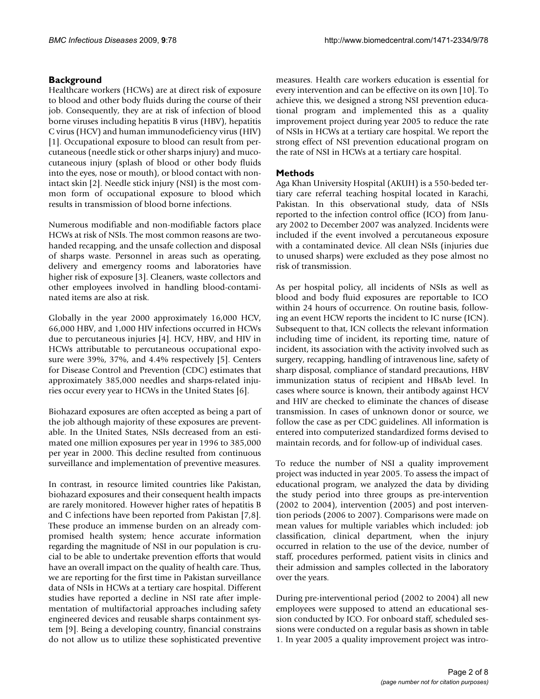### **Background**

Healthcare workers (HCWs) are at direct risk of exposure to blood and other body fluids during the course of their job. Consequently, they are at risk of infection of blood borne viruses including hepatitis B virus (HBV), hepatitis C virus (HCV) and human immunodeficiency virus (HIV) [1]. Occupational exposure to blood can result from percutaneous (needle stick or other sharps injury) and mucocutaneous injury (splash of blood or other body fluids into the eyes, nose or mouth), or blood contact with nonintact skin [2]. Needle stick injury (NSI) is the most common form of occupational exposure to blood which results in transmission of blood borne infections.

Numerous modifiable and non-modifiable factors place HCWs at risk of NSIs. The most common reasons are twohanded recapping, and the unsafe collection and disposal of sharps waste. Personnel in areas such as operating, delivery and emergency rooms and laboratories have higher risk of exposure [3]. Cleaners, waste collectors and other employees involved in handling blood-contaminated items are also at risk.

Globally in the year 2000 approximately 16,000 HCV, 66,000 HBV, and 1,000 HIV infections occurred in HCWs due to percutaneous injuries [4]. HCV, HBV, and HIV in HCWs attributable to percutaneous occupational exposure were 39%, 37%, and 4.4% respectively [5]. Centers for Disease Control and Prevention (CDC) estimates that approximately 385,000 needles and sharps-related injuries occur every year to HCWs in the United States [6].

Biohazard exposures are often accepted as being a part of the job although majority of these exposures are preventable. In the United States, NSIs decreased from an estimated one million exposures per year in 1996 to 385,000 per year in 2000. This decline resulted from continuous surveillance and implementation of preventive measures.

In contrast, in resource limited countries like Pakistan, biohazard exposures and their consequent health impacts are rarely monitored. However higher rates of hepatitis B and C infections have been reported from Pakistan [7,8]. These produce an immense burden on an already compromised health system; hence accurate information regarding the magnitude of NSI in our population is crucial to be able to undertake prevention efforts that would have an overall impact on the quality of health care. Thus, we are reporting for the first time in Pakistan surveillance data of NSIs in HCWs at a tertiary care hospital. Different studies have reported a decline in NSI rate after implementation of multifactorial approaches including safety engineered devices and reusable sharps containment system [9]. Being a developing country, financial constrains do not allow us to utilize these sophisticated preventive

measures. Health care workers education is essential for every intervention and can be effective on its own [10]. To achieve this, we designed a strong NSI prevention educational program and implemented this as a quality improvement project during year 2005 to reduce the rate of NSIs in HCWs at a tertiary care hospital. We report the strong effect of NSI prevention educational program on the rate of NSI in HCWs at a tertiary care hospital.

#### **Methods**

Aga Khan University Hospital (AKUH) is a 550-beded tertiary care referral teaching hospital located in Karachi, Pakistan. In this observational study, data of NSIs reported to the infection control office (ICO) from January 2002 to December 2007 was analyzed. Incidents were included if the event involved a percutaneous exposure with a contaminated device. All clean NSIs (injuries due to unused sharps) were excluded as they pose almost no risk of transmission.

As per hospital policy, all incidents of NSIs as well as blood and body fluid exposures are reportable to ICO within 24 hours of occurrence. On routine basis, following an event HCW reports the incident to IC nurse (ICN). Subsequent to that, ICN collects the relevant information including time of incident, its reporting time, nature of incident, its association with the activity involved such as surgery, recapping, handling of intravenous line, safety of sharp disposal, compliance of standard precautions, HBV immunization status of recipient and HBsAb level. In cases where source is known, their antibody against HCV and HIV are checked to eliminate the chances of disease transmission. In cases of unknown donor or source, we follow the case as per CDC guidelines. All information is entered into computerized standardized forms devised to maintain records, and for follow-up of individual cases.

To reduce the number of NSI a quality improvement project was inducted in year 2005. To assess the impact of educational program, we analyzed the data by dividing the study period into three groups as pre-intervention (2002 to 2004), intervention (2005) and post intervention periods (2006 to 2007). Comparisons were made on mean values for multiple variables which included: job classification, clinical department, when the injury occurred in relation to the use of the device, number of staff, procedures performed, patient visits in clinics and their admission and samples collected in the laboratory over the years.

During pre-interventional period (2002 to 2004) all new employees were supposed to attend an educational session conducted by ICO. For onboard staff, scheduled sessions were conducted on a regular basis as shown in table 1. In year 2005 a quality improvement project was intro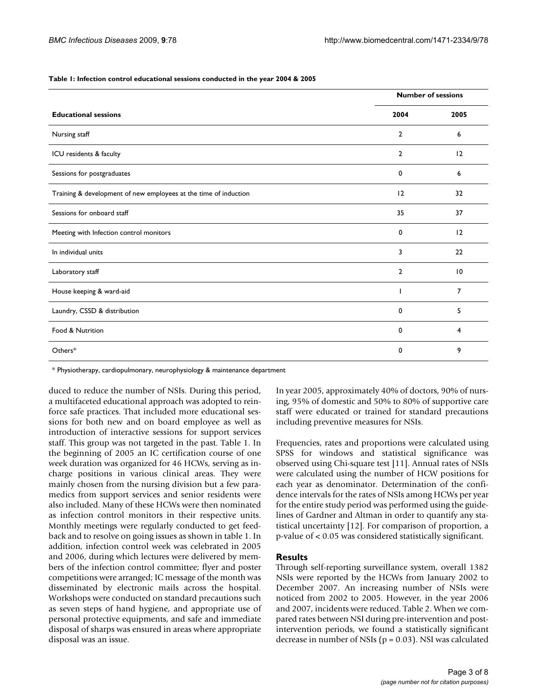**Table 1: Infection control educational sessions conducted in the year 2004 & 2005**

|                                                                  | <b>Number of sessions</b> |                 |  |
|------------------------------------------------------------------|---------------------------|-----------------|--|
| <b>Educational sessions</b>                                      | 2004                      | 2005            |  |
| Nursing staff                                                    | $\overline{2}$            | 6               |  |
| ICU residents & faculty                                          | $\overline{2}$            | 12              |  |
| Sessions for postgraduates                                       | 0                         | 6               |  |
| Training & development of new employees at the time of induction | 12                        | 32              |  |
| Sessions for onboard staff                                       | 35                        | 37              |  |
| Meeting with Infection control monitors                          | 0                         | 12              |  |
| In individual units                                              | 3                         | 22              |  |
| Laboratory staff                                                 | $\overline{2}$            | $\overline{10}$ |  |
| House keeping & ward-aid                                         |                           | 7               |  |
| Laundry, CSSD & distribution                                     | 0                         | 5               |  |
| Food & Nutrition                                                 | 0                         | 4               |  |
| Others*                                                          | 0                         | 9               |  |

\* Physiotherapy, cardiopulmonary, neurophysiology & maintenance department

duced to reduce the number of NSIs. During this period, a multifaceted educational approach was adopted to reinforce safe practices. That included more educational sessions for both new and on board employee as well as introduction of interactive sessions for support services staff. This group was not targeted in the past. Table 1. In the beginning of 2005 an IC certification course of one week duration was organized for 46 HCWs, serving as incharge positions in various clinical areas. They were mainly chosen from the nursing division but a few paramedics from support services and senior residents were also included. Many of these HCWs were then nominated as infection control monitors in their respective units. Monthly meetings were regularly conducted to get feedback and to resolve on going issues as shown in table 1. In addition, infection control week was celebrated in 2005 and 2006, during which lectures were delivered by members of the infection control committee; flyer and poster competitions were arranged; IC message of the month was disseminated by electronic mails across the hospital. Workshops were conducted on standard precautions such as seven steps of hand hygiene, and appropriate use of personal protective equipments, and safe and immediate disposal of sharps was ensured in areas where appropriate disposal was an issue.

In year 2005, approximately 40% of doctors, 90% of nursing, 95% of domestic and 50% to 80% of supportive care staff were educated or trained for standard precautions including preventive measures for NSIs.

Frequencies, rates and proportions were calculated using SPSS for windows and statistical significance was observed using Chi-square test [11]. Annual rates of NSIs were calculated using the number of HCW positions for each year as denominator. Determination of the confidence intervals for the rates of NSIs among HCWs per year for the entire study period was performed using the guidelines of Gardner and Altman in order to quantify any statistical uncertainty [12]. For comparison of proportion, a p-value of < 0.05 was considered statistically significant.

#### **Results**

Through self-reporting surveillance system, overall 1382 NSIs were reported by the HCWs from January 2002 to December 2007. An increasing number of NSIs were noticed from 2002 to 2005. However, in the year 2006 and 2007, incidents were reduced. Table 2. When we compared rates between NSI during pre-intervention and postintervention periods, we found a statistically significant decrease in number of NSIs ( $p = 0.03$ ). NSI was calculated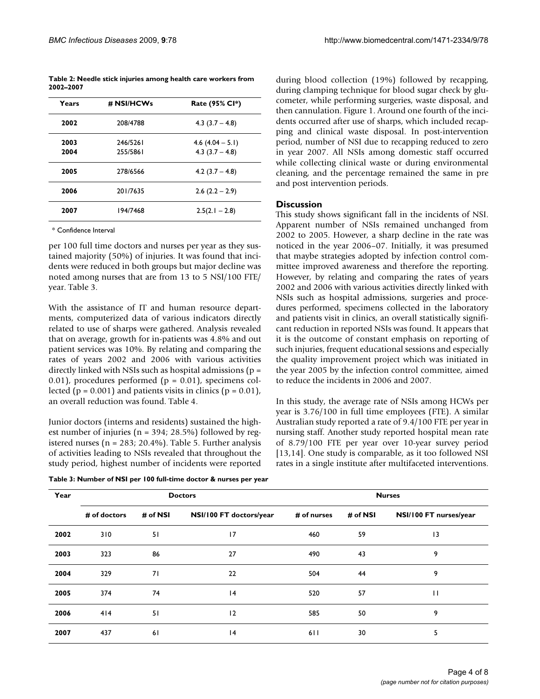**Table 2: Needle stick injuries among health care workers from 2002–2007**

| Years | # NSI/HCWs | Rate (95% CI*)      |  |  |
|-------|------------|---------------------|--|--|
| 2002  | 208/4788   | $4.3$ $(3.7 - 4.8)$ |  |  |
| 2003  | 246/5261   | $4.6$ (4.04 – 5.1)  |  |  |
| 2004  | 255/5861   | $4.3$ $(3.7 - 4.8)$ |  |  |
| 2005  | 278/6566   | $4.2$ (3.7 – 4.8)   |  |  |
| 2006  | 201/7635   | $2.6$ (2.2 – 2.9)   |  |  |
| 2007  | 194/7468   | $2.5(2.1 - 2.8)$    |  |  |

\* Confidence Interval

per 100 full time doctors and nurses per year as they sustained majority (50%) of injuries. It was found that incidents were reduced in both groups but major decline was noted among nurses that are from 13 to 5 NSI/100 FTE/ year. Table 3.

With the assistance of IT and human resource departments, computerized data of various indicators directly related to use of sharps were gathered. Analysis revealed that on average, growth for in-patients was 4.8% and out patient services was 10%. By relating and comparing the rates of years 2002 and 2006 with various activities directly linked with NSIs such as hospital admissions  $(p =$ 0.01), procedures performed ( $p = 0.01$ ), specimens collected ( $p = 0.001$ ) and patients visits in clinics ( $p = 0.01$ ), an overall reduction was found. Table 4.

Junior doctors (interns and residents) sustained the highest number of injuries (n = 394; 28.5%) followed by registered nurses ( $n = 283$ ; 20.4%). Table 5. Further analysis of activities leading to NSIs revealed that throughout the study period, highest number of incidents were reported

**Table 3: Number of NSI per 100 full-time doctor & nurses per year**

during blood collection (19%) followed by recapping, during clamping technique for blood sugar check by glucometer, while performing surgeries, waste disposal, and then cannulation. Figure 1. Around one fourth of the incidents occurred after use of sharps, which included recapping and clinical waste disposal. In post-intervention period, number of NSI due to recapping reduced to zero in year 2007. All NSIs among domestic staff occurred while collecting clinical waste or during environmental cleaning, and the percentage remained the same in pre and post intervention periods.

#### **Discussion**

This study shows significant fall in the incidents of NSI. Apparent number of NSIs remained unchanged from 2002 to 2005. However, a sharp decline in the rate was noticed in the year 2006–07. Initially, it was presumed that maybe strategies adopted by infection control committee improved awareness and therefore the reporting. However, by relating and comparing the rates of years 2002 and 2006 with various activities directly linked with NSIs such as hospital admissions, surgeries and procedures performed, specimens collected in the laboratory and patients visit in clinics, an overall statistically significant reduction in reported NSIs was found. It appears that it is the outcome of constant emphasis on reporting of such injuries, frequent educational sessions and especially the quality improvement project which was initiated in the year 2005 by the infection control committee, aimed to reduce the incidents in 2006 and 2007.

In this study, the average rate of NSIs among HCWs per year is 3.76/100 in full time employees (FTE). A similar Australian study reported a rate of 9.4/100 FTE per year in nursing staff. Another study reported hospital mean rate of 8.79/100 FTE per year over 10-year survey period [13,14]. One study is comparable, as it too followed NSI rates in a single institute after multifaceted interventions.

| Year |              |          | <b>Doctors</b>          | <b>Nurses</b> |          |                        |  |
|------|--------------|----------|-------------------------|---------------|----------|------------------------|--|
|      | # of doctors | # of NSI | NSI/100 FT doctors/year | # of nurses   | # of NSI | NSI/100 FT nurses/year |  |
| 2002 | 310          | 51       | 17                      | 460           | 59       | $\overline{13}$        |  |
| 2003 | 323          | 86       | 27                      | 490           | 43       | 9                      |  |
| 2004 | 329          | 71       | 22                      | 504           | 44       | 9                      |  |
| 2005 | 374          | 74       | 4                       | 520           | 57       | $\mathbf{1}$           |  |
| 2006 | 414          | 51       | 12                      | 585           | 50       | 9                      |  |
| 2007 | 437          | 61       | 4                       | 611           | 30       | 5                      |  |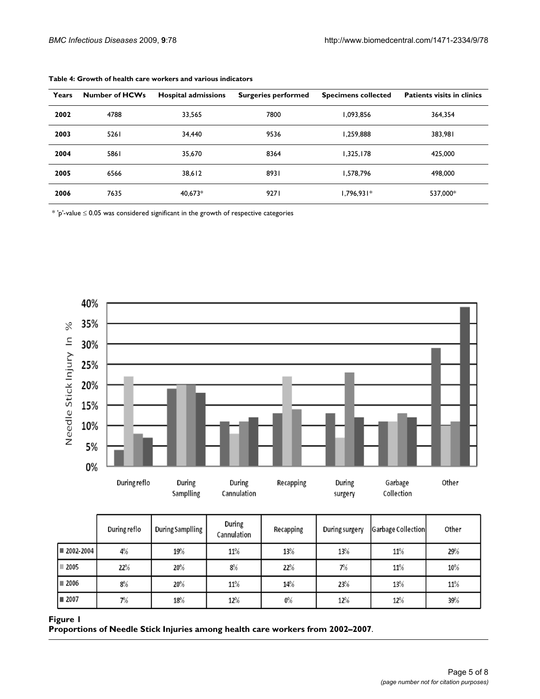| Years | Number of HCWs | <b>Hospital admissions</b> | <b>Surgeries performed</b> | <b>Specimens collected</b> | <b>Patients visits in clinics</b> |
|-------|----------------|----------------------------|----------------------------|----------------------------|-----------------------------------|
| 2002  | 4788           | 33,565                     | 7800                       | 1.093.856                  | 364,354                           |
| 2003  | 5261           | 34,440                     | 9536                       | 259,888. ا                 | 383,981                           |
| 2004  | 5861           | 35,670                     | 8364                       | 1,325,178                  | 425,000                           |
| 2005  | 6566           | 38,612                     | 8931                       | 1,578,796                  | 498,000                           |
| 2006  | 7635           | 40,673*                    | 9271                       | $1,796,931*$               | 537.000*                          |

**Table 4: Growth of health care workers and various indicators**

 $*$  'p'-value  $\leq$  0.05 was considered significant in the growth of respective categories



|                          | During reflo | <b>During Samplling</b> | During<br>Cannulation | Recapping | During surgery | Garbage Collection | Other |
|--------------------------|--------------|-------------------------|-----------------------|-----------|----------------|--------------------|-------|
| $\blacksquare$ 2002-2004 | 4%           | 19%                     | 11%                   | 13%       | 13%            | 11%                | 29%   |
| $\blacksquare$ 2005      | 22%          | 20%                     | 8%                    | 22%       | $\mathcal{P}'$ | 11%                | 10%   |
| $\blacksquare$ 2006      | 8%           | 20%                     | $11\%$                | 14%       | 23%            | 13%                | 11%   |
| $\blacksquare$ 2007      | 7%           | 18%                     | 12%                   | $0\%$     | 12%            | 12%                | 39%   |

**Figure 1** 

**Proportions of Needle Stick Injuries among health care workers from 2002–2007**.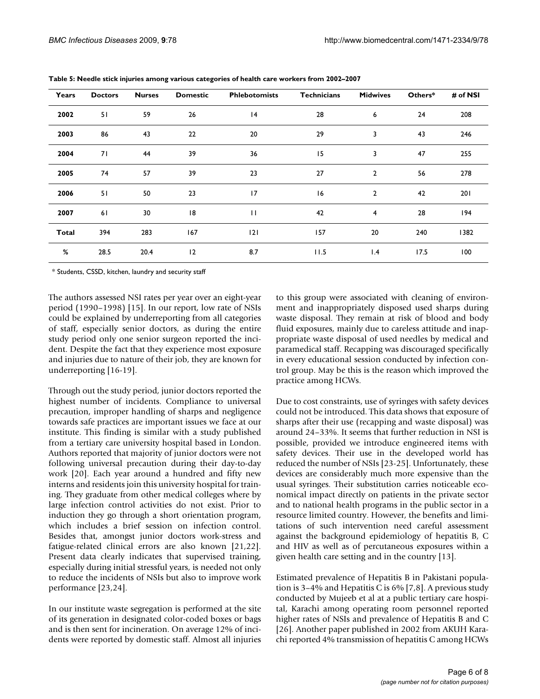| Years        | <b>Doctors</b> | <b>Nurses</b> | <b>Domestic</b> | <b>Phlebotomists</b> | <b>Technicians</b> | <b>Midwives</b> | Others* | # of NSI |
|--------------|----------------|---------------|-----------------|----------------------|--------------------|-----------------|---------|----------|
| 2002         | 51             | 59            | 26              | 4                    | 28                 | 6               | 24      | 208      |
| 2003         | 86             | 43            | 22              | 20                   | 29                 | 3               | 43      | 246      |
| 2004         | 71             | 44            | 39              | 36                   | 15                 | 3               | 47      | 255      |
| 2005         | 74             | 57            | 39              | 23                   | 27                 | $\overline{2}$  | 56      | 278      |
| 2006         | 51             | 50            | 23              | 17                   | 16                 | $\overline{2}$  | 42      | 201      |
| 2007         | 61             | 30            | 18              | $\mathbf{H}$         | 42                 | 4               | 28      | 194      |
| <b>Total</b> | 394            | 283           | 167             | 2                    | 157                | 20              | 240     | 1382     |
| %            | 28.5           | 20.4          | 12              | 8.7                  | 11.5               | 1.4             | 17.5    | 100      |

**Table 5: Needle stick injuries among various categories of health care workers from 2002–2007**

\* Students, CSSD, kitchen, laundry and security staff

The authors assessed NSI rates per year over an eight-year period (1990–1998) [15]. In our report, low rate of NSIs could be explained by underreporting from all categories of staff, especially senior doctors, as during the entire study period only one senior surgeon reported the incident. Despite the fact that they experience most exposure and injuries due to nature of their job, they are known for underreporting [16-19].

Through out the study period, junior doctors reported the highest number of incidents. Compliance to universal precaution, improper handling of sharps and negligence towards safe practices are important issues we face at our institute. This finding is similar with a study published from a tertiary care university hospital based in London. Authors reported that majority of junior doctors were not following universal precaution during their day-to-day work [20]. Each year around a hundred and fifty new interns and residents join this university hospital for training. They graduate from other medical colleges where by large infection control activities do not exist. Prior to induction they go through a short orientation program, which includes a brief session on infection control. Besides that, amongst junior doctors work-stress and fatigue-related clinical errors are also known [21,22]. Present data clearly indicates that supervised training, especially during initial stressful years, is needed not only to reduce the incidents of NSIs but also to improve work performance [23,24].

In our institute waste segregation is performed at the site of its generation in designated color-coded boxes or bags and is then sent for incineration. On average 12% of incidents were reported by domestic staff. Almost all injuries to this group were associated with cleaning of environment and inappropriately disposed used sharps during waste disposal. They remain at risk of blood and body fluid exposures, mainly due to careless attitude and inappropriate waste disposal of used needles by medical and paramedical staff. Recapping was discouraged specifically in every educational session conducted by infection control group. May be this is the reason which improved the practice among HCWs.

Due to cost constraints, use of syringes with safety devices could not be introduced. This data shows that exposure of sharps after their use (recapping and waste disposal) was around 24–33%. It seems that further reduction in NSI is possible, provided we introduce engineered items with safety devices. Their use in the developed world has reduced the number of NSIs [23-25]. Unfortunately, these devices are considerably much more expensive than the usual syringes. Their substitution carries noticeable economical impact directly on patients in the private sector and to national health programs in the public sector in a resource limited country. However, the benefits and limitations of such intervention need careful assessment against the background epidemiology of hepatitis B, C and HIV as well as of percutaneous exposures within a given health care setting and in the country [13].

Estimated prevalence of Hepatitis B in Pakistani population is 3–4% and Hepatitis C is 6% [7,8]. A previous study conducted by Mujeeb et al at a public tertiary care hospital, Karachi among operating room personnel reported higher rates of NSIs and prevalence of Hepatitis B and C [26]. Another paper published in 2002 from AKUH Karachi reported 4% transmission of hepatitis C among HCWs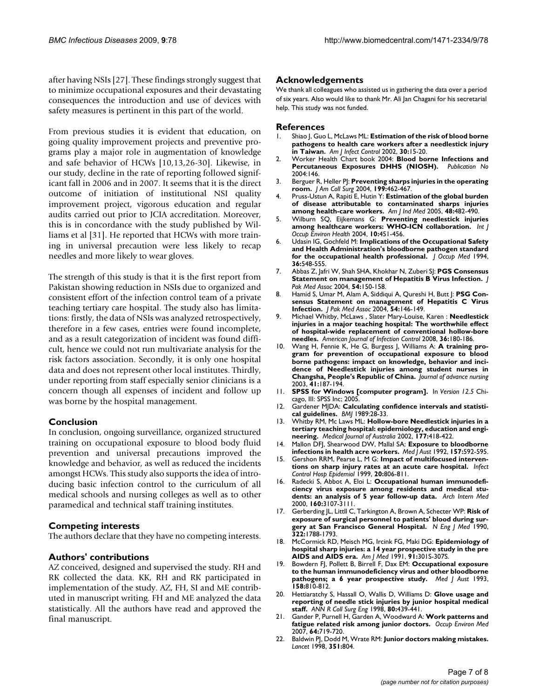after having NSIs [27]. These findings strongly suggest that to minimize occupational exposures and their devastating consequences the introduction and use of devices with safety measures is pertinent in this part of the world.

From previous studies it is evident that education, on going quality improvement projects and preventive programs play a major role in augmentation of knowledge and safe behavior of HCWs [10,13,26-30]. Likewise, in our study, decline in the rate of reporting followed significant fall in 2006 and in 2007. It seems that it is the direct outcome of initiation of institutional NSI quality improvement project, vigorous education and regular audits carried out prior to JCIA accreditation. Moreover, this is in concordance with the study published by Williams et al [31]. He reported that HCWs with more training in universal precaution were less likely to recap needles and more likely to wear gloves.

The strength of this study is that it is the first report from Pakistan showing reduction in NSIs due to organized and consistent effort of the infection control team of a private teaching tertiary care hospital. The study also has limitations: firstly, the data of NSIs was analyzed retrospectively, therefore in a few cases, entries were found incomplete, and as a result categorization of incident was found difficult, hence we could not run multivariate analysis for the risk factors association. Secondly, it is only one hospital data and does not represent other local institutes. Thirdly, under reporting from staff especially senior clinicians is a concern though all expenses of incident and follow up was borne by the hospital management.

#### **Conclusion**

In conclusion, ongoing surveillance, organized structured training on occupational exposure to blood body fluid prevention and universal precautions improved the knowledge and behavior, as well as reduced the incidents amongst HCWs. This study also supports the idea of introducing basic infection control to the curriculum of all medical schools and nursing colleges as well as to other paramedical and technical staff training institutes.

#### **Competing interests**

The authors declare that they have no competing interests.

#### **Authors' contributions**

AZ conceived, designed and supervised the study. RH and RK collected the data. KK, RH and RK participated in implementation of the study. AZ, FH, SI and ME contributed in manuscript writing. FH and ME analyzed the data statistically. All the authors have read and approved the final manuscript.

#### **Acknowledgements**

We thank all colleagues who assisted us in gathering the data over a period of six years. Also would like to thank Mr. Ali Jan Chagani for his secretarial help. This study was not funded.

#### **References**

- Shiao J, Guo L, McLaws ML: **[Estimation of the risk of blood borne](http://www.ncbi.nlm.nih.gov/entrez/query.fcgi?cmd=Retrieve&db=PubMed&dopt=Abstract&list_uids=11852411) [pathogens to health care workers after a needlestick injury](http://www.ncbi.nlm.nih.gov/entrez/query.fcgi?cmd=Retrieve&db=PubMed&dopt=Abstract&list_uids=11852411) [in Taiwan.](http://www.ncbi.nlm.nih.gov/entrez/query.fcgi?cmd=Retrieve&db=PubMed&dopt=Abstract&list_uids=11852411)** *Am J Infect Control* 2002, **30:**15-20.
- 2. Worker Health Chart book 2004: **Blood borne Infections and Percutaneous Exposures DHHS (NIOSH).** *Publication No* 2004:146.
- 3. Berguer R, Heller PJ: **[Preventing sharps injuries in the operating](http://www.ncbi.nlm.nih.gov/entrez/query.fcgi?cmd=Retrieve&db=PubMed&dopt=Abstract&list_uids=15325617) [room.](http://www.ncbi.nlm.nih.gov/entrez/query.fcgi?cmd=Retrieve&db=PubMed&dopt=Abstract&list_uids=15325617)** *J Am Coll Surg* 2004, **199:**462-467.
- 4. Pruss-Ustun A, Rapiti E, Hutin Y: **[Estimation of the global burden](http://www.ncbi.nlm.nih.gov/entrez/query.fcgi?cmd=Retrieve&db=PubMed&dopt=Abstract&list_uids=16299710) [of disease attributable to contaminated sharps injuries](http://www.ncbi.nlm.nih.gov/entrez/query.fcgi?cmd=Retrieve&db=PubMed&dopt=Abstract&list_uids=16299710) [among health-care workers.](http://www.ncbi.nlm.nih.gov/entrez/query.fcgi?cmd=Retrieve&db=PubMed&dopt=Abstract&list_uids=16299710)** *Am J Ind Med* 2005, **48:**482-490.
- 5. Wilburn SQ, Eijkemans G: **[Preventing needlestick injuries](http://www.ncbi.nlm.nih.gov/entrez/query.fcgi?cmd=Retrieve&db=PubMed&dopt=Abstract&list_uids=15702761) [among healthcare workers: WHO-ICN collaboration.](http://www.ncbi.nlm.nih.gov/entrez/query.fcgi?cmd=Retrieve&db=PubMed&dopt=Abstract&list_uids=15702761)** *Int J Occup Environ Health* 2004, **10:**451-456.
- 6. Udasin IG, Gochfeld M: **[Implications of the Occupational Safety](http://www.ncbi.nlm.nih.gov/entrez/query.fcgi?cmd=Retrieve&db=PubMed&dopt=Abstract&list_uids=8027880) [and Health Administration's bloodborne pathogen standard](http://www.ncbi.nlm.nih.gov/entrez/query.fcgi?cmd=Retrieve&db=PubMed&dopt=Abstract&list_uids=8027880) [for the occupational health professional.](http://www.ncbi.nlm.nih.gov/entrez/query.fcgi?cmd=Retrieve&db=PubMed&dopt=Abstract&list_uids=8027880)** *J Occup Med* 1994, **36:**548-555.
- 7. Abbas Z, Jafri W, Shah SHA, Khokhar N, Zuberi SJ: **[PGS Consensus](http://www.ncbi.nlm.nih.gov/entrez/query.fcgi?cmd=Retrieve&db=PubMed&dopt=Abstract&list_uids=15129877) [Statement on management of Hepatitis B Virus Infection.](http://www.ncbi.nlm.nih.gov/entrez/query.fcgi?cmd=Retrieve&db=PubMed&dopt=Abstract&list_uids=15129877)** *J Pak Med Assoc* 2004, **54:**150-158.
- 8. Hamid S, Umar M, Alam A, Siddiqui A, Qureshi H, Butt J: **[PSG Con](http://www.ncbi.nlm.nih.gov/entrez/query.fcgi?cmd=Retrieve&db=PubMed&dopt=Abstract&list_uids=15129876)[sensus Statement on management of Hepatitis C Virus](http://www.ncbi.nlm.nih.gov/entrez/query.fcgi?cmd=Retrieve&db=PubMed&dopt=Abstract&list_uids=15129876) [Infection.](http://www.ncbi.nlm.nih.gov/entrez/query.fcgi?cmd=Retrieve&db=PubMed&dopt=Abstract&list_uids=15129876)** *J Pak Med Assoc* 2004, **54:**146-149.
- 9. Michael Whitby, McLaws , Slater Mary-Louise, Karen : **[Needlestick](http://www.ncbi.nlm.nih.gov/entrez/query.fcgi?cmd=Retrieve&db=PubMed&dopt=Abstract&list_uids=18371513) [injuries in a major teaching hospital: The worthwhile effect](http://www.ncbi.nlm.nih.gov/entrez/query.fcgi?cmd=Retrieve&db=PubMed&dopt=Abstract&list_uids=18371513) of hospital-wide replacement of conventional hollow-bore [needles.](http://www.ncbi.nlm.nih.gov/entrez/query.fcgi?cmd=Retrieve&db=PubMed&dopt=Abstract&list_uids=18371513)** *American Journal of Infection Control* 2008, **36:**180-186.
- 10. Wang H, Fennie K, He G, Burgess J, Williams A: **A training program for prevention of occupational exposure to blood borne pathogens: impact on knowledge, behavior and incidence of Needlestick injuries among student nurses in Changsha, People's Republic of China.** *Journal of advance nursing* 2003, **41:**187-194.
- 11. **SPSS for Windows [computer program].** In *Version 12.5* Chicago, III: SPSS Inc; 2005.
- 12. Gardener MJDA: **Calculating confidence intervals and statistical guidelines.** *BMJ* 1989:28-33.
- 13. Whitby RM, Mc Laws ML: **[Hollow-bore Needlestick injuries in a](http://www.ncbi.nlm.nih.gov/entrez/query.fcgi?cmd=Retrieve&db=PubMed&dopt=Abstract&list_uids=12381250) [tertiary teaching hospital: epidemiology, education and engi](http://www.ncbi.nlm.nih.gov/entrez/query.fcgi?cmd=Retrieve&db=PubMed&dopt=Abstract&list_uids=12381250)[neering.](http://www.ncbi.nlm.nih.gov/entrez/query.fcgi?cmd=Retrieve&db=PubMed&dopt=Abstract&list_uids=12381250)** *Medical Journal of Australia* 2002, **177:**418-422.
- 14. Mallon DFJ, Shearwood DW, Mallal SA: **[Exposure to bloodborne](http://www.ncbi.nlm.nih.gov/entrez/query.fcgi?cmd=Retrieve&db=PubMed&dopt=Abstract&list_uids=1406418) [infections in health acre workers.](http://www.ncbi.nlm.nih.gov/entrez/query.fcgi?cmd=Retrieve&db=PubMed&dopt=Abstract&list_uids=1406418)** *Med J Aust* 1992, **157:**592-595.
- 15. Gershon RRM, Pearse L, M G: **[Impact of multifocused interven](http://www.ncbi.nlm.nih.gov/entrez/query.fcgi?cmd=Retrieve&db=PubMed&dopt=Abstract&list_uids=10614603)[tions on sharp injury rates at an acute care hospital.](http://www.ncbi.nlm.nih.gov/entrez/query.fcgi?cmd=Retrieve&db=PubMed&dopt=Abstract&list_uids=10614603)** *Infect Control Hosp Epidemiol* 1999, **20:**806-811.
- 16. Radecki S, Abbot A, Eloi L: **[Occupational human immunodefi](http://www.ncbi.nlm.nih.gov/entrez/query.fcgi?cmd=Retrieve&db=PubMed&dopt=Abstract&list_uids=11074739)[ciency virus exposure among residents and medical stu](http://www.ncbi.nlm.nih.gov/entrez/query.fcgi?cmd=Retrieve&db=PubMed&dopt=Abstract&list_uids=11074739)[dents: an analysis of 5 year follow-up data.](http://www.ncbi.nlm.nih.gov/entrez/query.fcgi?cmd=Retrieve&db=PubMed&dopt=Abstract&list_uids=11074739)** *Arch Intern Med* 2000, **160:**3107-3111.
- 17. Gerberding JL, Littll C, Tarkington A, Brown A, Schecter WP: **Risk of exposure of surgical personnel to patients' blood during surgery at San Francisco General Hospital.** *N Eng J Med* 1990, **322:**1788-1793.
- 18. McCormick RD, Meisch MG, Ircink FG, Maki DG: **[Epidemiology of](http://www.ncbi.nlm.nih.gov/entrez/query.fcgi?cmd=Retrieve&db=PubMed&dopt=Abstract&list_uids=1928183) [hospital sharp injuries: a 14 year prospective study in the pre](http://www.ncbi.nlm.nih.gov/entrez/query.fcgi?cmd=Retrieve&db=PubMed&dopt=Abstract&list_uids=1928183) [AIDS and AIDS era.](http://www.ncbi.nlm.nih.gov/entrez/query.fcgi?cmd=Retrieve&db=PubMed&dopt=Abstract&list_uids=1928183)** *Am J Med* 1991, **91:**301S-307S.
- 19. Bowdern FJ, Pollett B, Birrell F, Dax EM: **[Occupational exposure](http://www.ncbi.nlm.nih.gov/entrez/query.fcgi?cmd=Retrieve&db=PubMed&dopt=Abstract&list_uids=8326890) [to the human immunodeficiency virus and other bloodborne](http://www.ncbi.nlm.nih.gov/entrez/query.fcgi?cmd=Retrieve&db=PubMed&dopt=Abstract&list_uids=8326890) [pathogens; a 6 year prospective study.](http://www.ncbi.nlm.nih.gov/entrez/query.fcgi?cmd=Retrieve&db=PubMed&dopt=Abstract&list_uids=8326890)** *Med J Aust* 1993, **158:**810-812.
- 20. Hettiaratchy S, Hassall O, Wallis D, Williams D: **Glove usage and reporting of needle stick injuries by junior hospital medical staff.** *ANN R Coll Surg Eng* 1998, **80:**439-441.
- 21. Gander P, Purnell H, Garden A, Woodward A: **[Work patterns and](http://www.ncbi.nlm.nih.gov/entrez/query.fcgi?cmd=Retrieve&db=PubMed&dopt=Abstract&list_uids=17951340) [fatigue related risk among junior doctors.](http://www.ncbi.nlm.nih.gov/entrez/query.fcgi?cmd=Retrieve&db=PubMed&dopt=Abstract&list_uids=17951340)** *Occup Environ Med* 2007, **64:**719-720.
- 22. Baldwin PJ, Dodd M, Wrate RM: **[Junior doctors making mistakes.](http://www.ncbi.nlm.nih.gov/entrez/query.fcgi?cmd=Retrieve&db=PubMed&dopt=Abstract&list_uids=9519958)** *Lancet* 1998, **351:**804.